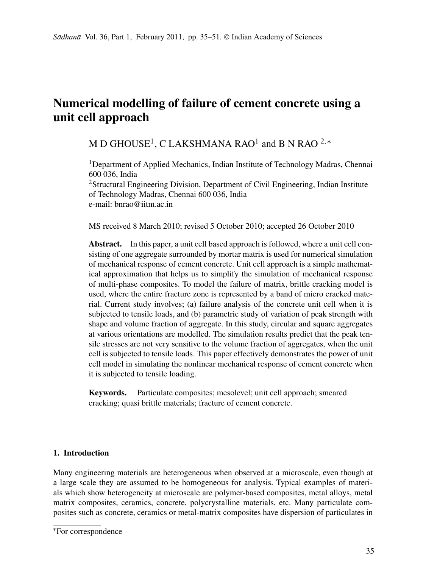# **Numerical modelling of failure of cement concrete using a unit cell approach**

# M D GHOUSE<sup>1</sup>, C LAKSHMANA RAO<sup>1</sup> and B N RAO<sup>2,\*</sup>

<sup>1</sup>Department of Applied Mechanics, Indian Institute of Technology Madras, Chennai 600 036, India

<sup>2</sup>Structural Engineering Division, Department of Civil Engineering, Indian Institute of Technology Madras, Chennai 600 036, India e-mail: bnrao@iitm.ac.in

MS received 8 March 2010; revised 5 October 2010; accepted 26 October 2010

**Abstract.** In this paper, a unit cell based approach is followed, where a unit cell consisting of one aggregate surrounded by mortar matrix is used for numerical simulation of mechanical response of cement concrete. Unit cell approach is a simple mathematical approximation that helps us to simplify the simulation of mechanical response of multi-phase composites. To model the failure of matrix, brittle cracking model is used, where the entire fracture zone is represented by a band of micro cracked material. Current study involves; (a) failure analysis of the concrete unit cell when it is subjected to tensile loads, and (b) parametric study of variation of peak strength with shape and volume fraction of aggregate. In this study, circular and square aggregates at various orientations are modelled. The simulation results predict that the peak tensile stresses are not very sensitive to the volume fraction of aggregates, when the unit cell is subjected to tensile loads. This paper effectively demonstrates the power of unit cell model in simulating the nonlinear mechanical response of cement concrete when it is subjected to tensile loading.

**Keywords.** Particulate composites; mesolevel; unit cell approach; smeared cracking; quasi brittle materials; fracture of cement concrete.

# **1. Introduction**

Many engineering materials are heterogeneous when observed at a microscale, even though at a large scale they are assumed to be homogeneous for analysis. Typical examples of materials which show heterogeneity at microscale are polymer-based composites, metal alloys, metal matrix composites, ceramics, concrete, polycrystalline materials, etc. Many particulate composites such as concrete, ceramics or metal-matrix composites have dispersion of particulates in

<sup>∗</sup>For correspondence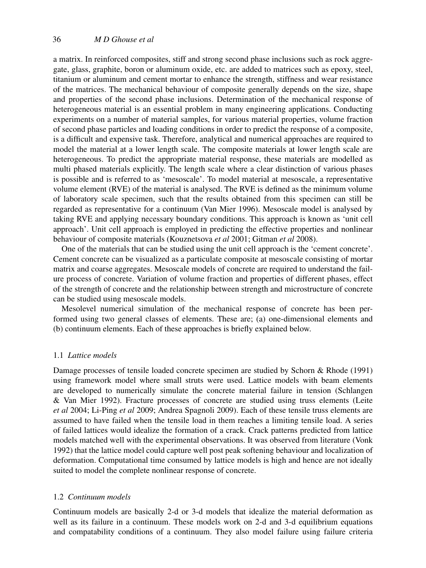a matrix. In reinforced composites, stiff and strong second phase inclusions such as rock aggregate, glass, graphite, boron or aluminum oxide, etc. are added to matrices such as epoxy, steel, titanium or aluminum and cement mortar to enhance the strength, stiffness and wear resistance of the matrices. The mechanical behaviour of composite generally depends on the size, shape and properties of the second phase inclusions. Determination of the mechanical response of heterogeneous material is an essential problem in many engineering applications. Conducting experiments on a number of material samples, for various material properties, volume fraction of second phase particles and loading conditions in order to predict the response of a composite, is a difficult and expensive task. Therefore, analytical and numerical approaches are required to model the material at a lower length scale. The composite materials at lower length scale are heterogeneous. To predict the appropriate material response, these materials are modelled as multi phased materials explicitly. The length scale where a clear distinction of various phases is possible and is referred to as 'mesoscale'. To model material at mesoscale, a representative volume element (RVE) of the material is analysed. The RVE is defined as the minimum volume of laboratory scale specimen, such that the results obtained from this specimen can still be regarded as representative for a continuum (Van Mier 1996). Mesoscale model is analysed by taking RVE and applying necessary boundary conditions. This approach is known as 'unit cell approach'. Unit cell approach is employed in predicting the effective properties and nonlinear behaviour of composite materials (Kouznetsova *et al* 2001; Gitman *et al* 2008).

One of the materials that can be studied using the unit cell approach is the 'cement concrete'. Cement concrete can be visualized as a particulate composite at mesoscale consisting of mortar matrix and coarse aggregates. Mesoscale models of concrete are required to understand the failure process of concrete. Variation of volume fraction and properties of different phases, effect of the strength of concrete and the relationship between strength and microstructure of concrete can be studied using mesoscale models.

Mesolevel numerical simulation of the mechanical response of concrete has been performed using two general classes of elements. These are; (a) one-dimensional elements and (b) continuum elements. Each of these approaches is briefly explained below.

#### 1.1 *Lattice models*

Damage processes of tensile loaded concrete specimen are studied by Schorn & Rhode (1991) using framework model where small struts were used. Lattice models with beam elements are developed to numerically simulate the concrete material failure in tension (Schlangen & Van Mier 1992). Fracture processes of concrete are studied using truss elements (Leite *et al* 2004; Li-Ping *et al* 2009; Andrea Spagnoli 2009). Each of these tensile truss elements are assumed to have failed when the tensile load in them reaches a limiting tensile load. A series of failed lattices would idealize the formation of a crack. Crack patterns predicted from lattice models matched well with the experimental observations. It was observed from literature (Vonk 1992) that the lattice model could capture well post peak softening behaviour and localization of deformation. Computational time consumed by lattice models is high and hence are not ideally suited to model the complete nonlinear response of concrete.

#### 1.2 *Continuum models*

Continuum models are basically 2-d or 3-d models that idealize the material deformation as well as its failure in a continuum. These models work on 2-d and 3-d equilibrium equations and compatability conditions of a continuum. They also model failure using failure criteria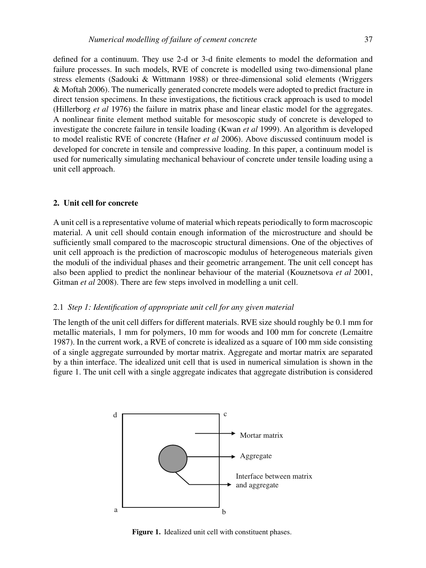defined for a continuum. They use 2-d or 3-d finite elements to model the deformation and failure processes. In such models, RVE of concrete is modelled using two-dimensional plane stress elements (Sadouki & Wittmann 1988) or three-dimensional solid elements (Wriggers & Moftah 2006). The numerically generated concrete models were adopted to predict fracture in direct tension specimens. In these investigations, the fictitious crack approach is used to model (Hillerborg *et al* 1976) the failure in matrix phase and linear elastic model for the aggregates. A nonlinear finite element method suitable for mesoscopic study of concrete is developed to investigate the concrete failure in tensile loading (Kwan *et al* 1999). An algorithm is developed to model realistic RVE of concrete (Hafner *et al* 2006). Above discussed continuum model is developed for concrete in tensile and compressive loading. In this paper, a continuum model is used for numerically simulating mechanical behaviour of concrete under tensile loading using a unit cell approach.

## **2. Unit cell for concrete**

A unit cell is a representative volume of material which repeats periodically to form macroscopic material. A unit cell should contain enough information of the microstructure and should be sufficiently small compared to the macroscopic structural dimensions. One of the objectives of unit cell approach is the prediction of macroscopic modulus of heterogeneous materials given the moduli of the individual phases and their geometric arrangement. The unit cell concept has also been applied to predict the nonlinear behaviour of the material (Kouznetsova *et al* 2001, Gitman *et al* 2008). There are few steps involved in modelling a unit cell.

#### 2.1 *Step 1: Identification of appropriate unit cell for any given material*

The length of the unit cell differs for different materials. RVE size should roughly be 0.1 mm for metallic materials, 1 mm for polymers, 10 mm for woods and 100 mm for concrete (Lemaitre 1987). In the current work, a RVE of concrete is idealized as a square of 100 mm side consisting of a single aggregate surrounded by mortar matrix. Aggregate and mortar matrix are separated by a thin interface. The idealized unit cell that is used in numerical simulation is shown in the figure 1. The unit cell with a single aggregate indicates that aggregate distribution is considered



**Figure 1.** Idealized unit cell with constituent phases.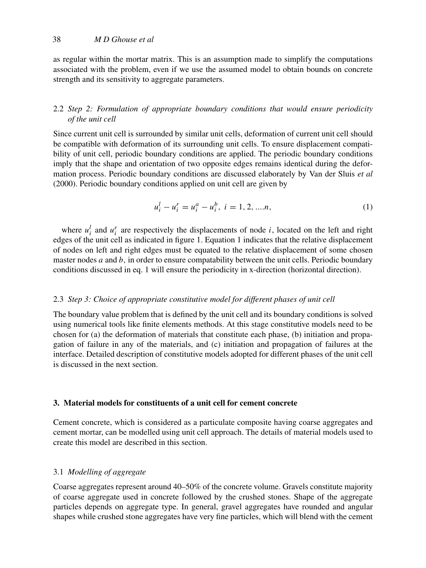as regular within the mortar matrix. This is an assumption made to simplify the computations associated with the problem, even if we use the assumed model to obtain bounds on concrete strength and its sensitivity to aggregate parameters.

# 2.2 *Step 2: Formulation of appropriate boundary conditions that would ensure periodicity of the unit cell*

Since current unit cell is surrounded by similar unit cells, deformation of current unit cell should be compatible with deformation of its surrounding unit cells. To ensure displacement compatibility of unit cell, periodic boundary conditions are applied. The periodic boundary conditions imply that the shape and orientation of two opposite edges remains identical during the deformation process. Periodic boundary conditions are discussed elaborately by Van der Sluis *et al* (2000). Periodic boundary conditions applied on unit cell are given by

$$
u_i^l - u_i^r = u_i^a - u_i^b, \ i = 1, 2, \dots n,
$$
\n(1)

where  $u_i^l$  and  $u_i^r$  are respectively the displacements of node *i*, located on the left and right edges of the unit cell as indicated in figure 1. Equation 1 indicates that the relative displacement of nodes on left and right edges must be equated to the relative displacement of some chosen master nodes *a* and *b*, in order to ensure compatability between the unit cells. Periodic boundary conditions discussed in eq. 1 will ensure the periodicity in x-direction (horizontal direction).

## 2.3 *Step 3: Choice of appropriate constitutive model for different phases of unit cell*

The boundary value problem that is defined by the unit cell and its boundary conditions is solved using numerical tools like finite elements methods. At this stage constitutive models need to be chosen for (a) the deformation of materials that constitute each phase, (b) initiation and propagation of failure in any of the materials, and (c) initiation and propagation of failures at the interface. Detailed description of constitutive models adopted for different phases of the unit cell is discussed in the next section.

## **3. Material models for constituents of a unit cell for cement concrete**

Cement concrete, which is considered as a particulate composite having coarse aggregates and cement mortar, can be modelled using unit cell approach. The details of material models used to create this model are described in this section.

## 3.1 *Modelling of aggregate*

Coarse aggregates represent around 40–50% of the concrete volume. Gravels constitute majority of coarse aggregate used in concrete followed by the crushed stones. Shape of the aggregate particles depends on aggregate type. In general, gravel aggregates have rounded and angular shapes while crushed stone aggregates have very fine particles, which will blend with the cement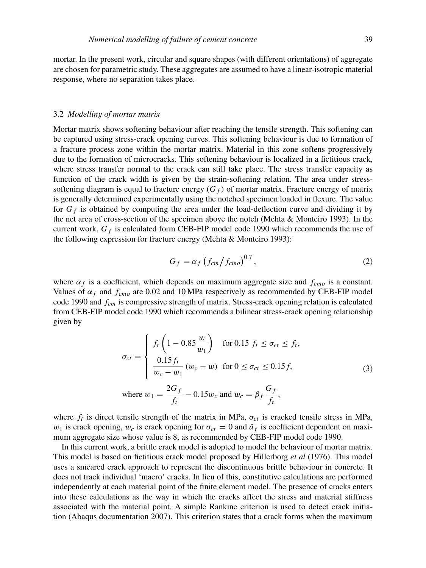mortar. In the present work, circular and square shapes (with different orientations) of aggregate are chosen for parametric study. These aggregates are assumed to have a linear-isotropic material response, where no separation takes place.

#### 3.2 *Modelling of mortar matrix*

Mortar matrix shows softening behaviour after reaching the tensile strength. This softening can be captured using stress-crack opening curves. This softening behaviour is due to formation of a fracture process zone within the mortar matrix. Material in this zone softens progressively due to the formation of microcracks. This softening behaviour is localized in a fictitious crack, where stress transfer normal to the crack can still take place. The stress transfer capacity as function of the crack width is given by the strain-softening relation. The area under stresssoftening diagram is equal to fracture energy  $(G_f)$  of mortar matrix. Fracture energy of matrix is generally determined experimentally using the notched specimen loaded in flexure. The value for  $G_f$  is obtained by computing the area under the load-deflection curve and dividing it by the net area of cross-section of the specimen above the notch (Mehta & Monteiro 1993). In the current work,  $G_f$  is calculated form CEB-FIP model code 1990 which recommends the use of the following expression for fracture energy (Mehta & Monteiro 1993):

$$
G_f = \alpha_f \left( f_{cm} / f_{cmo} \right)^{0.7},\tag{2}
$$

where  $\alpha_f$  is a coefficient, which depends on maximum aggregate size and  $f_{\text{cm0}}$  is a constant. Values of  $\alpha_f$  and  $f_{\text{cmo}}$  are 0.02 and 10 MPa respectively as recommended by CEB-FIP model code 1990 and *fcm* is compressive strength of matrix. Stress-crack opening relation is calculated from CEB-FIP model code 1990 which recommends a bilinear stress-crack opening relationship given by

$$
\sigma_{ct} = \begin{cases}\nf_t \left(1 - 0.85 \frac{w}{w_1}\right) & \text{for } 0.15 \ f_t \le \sigma_{ct} \le f_t, \\
\frac{0.15 f_t}{w_c - w_1} \ (w_c - w) & \text{for } 0 \le \sigma_{ct} \le 0.15 f, \\
\text{where } w_1 = \frac{2G_f}{f_t} - 0.15 w_c \text{ and } w_c = \beta_f \frac{G_f}{f_t},\n\end{cases}
$$
\n(3)

where  $f_t$  is direct tensile strength of the matrix in MPa,  $\sigma_{ct}$  is cracked tensile stress in MPa,  $w_1$  is crack opening,  $w_c$  is crack opening for  $\sigma_{ct} = 0$  and  $\hat{a}_f$  is coefficient dependent on maximum aggregate size whose value is 8, as recommended by CEB-FIP model code 1990.

In this current work, a brittle crack model is adopted to model the behaviour of mortar matrix. This model is based on fictitious crack model proposed by Hillerborg *et al* (1976). This model uses a smeared crack approach to represent the discontinuous brittle behaviour in concrete. It does not track individual 'macro' cracks. In lieu of this, constitutive calculations are performed independently at each material point of the finite element model. The presence of cracks enters into these calculations as the way in which the cracks affect the stress and material stiffness associated with the material point. A simple Rankine criterion is used to detect crack initiation (Abaqus documentation 2007). This criterion states that a crack forms when the maximum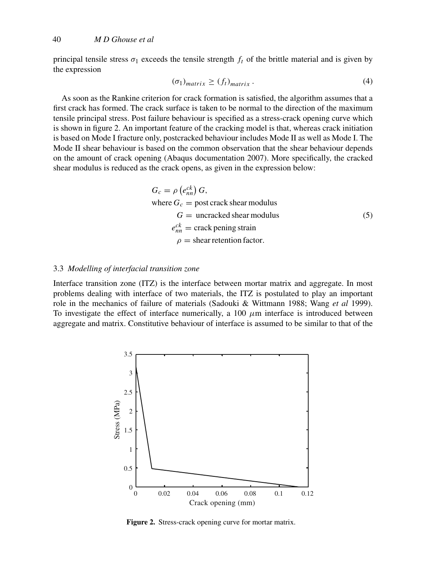principal tensile stress  $\sigma_1$  exceeds the tensile strength  $f_t$  of the brittle material and is given by the expression

$$
(\sigma_1)_{matrix} \ge (f_t)_{matrix} \tag{4}
$$

As soon as the Rankine criterion for crack formation is satisfied, the algorithm assumes that a first crack has formed. The crack surface is taken to be normal to the direction of the maximum tensile principal stress. Post failure behaviour is specified as a stress-crack opening curve which is shown in figure 2. An important feature of the cracking model is that, whereas crack initiation is based on Mode I fracture only, postcracked behaviour includes Mode II as well as Mode I. The Mode II shear behaviour is based on the common observation that the shear behaviour depends on the amount of crack opening (Abaqus documentation 2007). More specifically, the cracked shear modulus is reduced as the crack opens, as given in the expression below:

$$
G_c = \rho (e_{nn}^{ck}) G,
$$
  
where  $G_c$  = post crack shear modulus  

$$
G =
$$
 uncracked shear modulus  

$$
e_{nn}^{ck} =
$$
crack pening strain  

$$
\rho =
$$
 shear retention factor.

## 3.3 *Modelling of interfacial transition zone*

Interface transition zone (ITZ) is the interface between mortar matrix and aggregate. In most problems dealing with interface of two materials, the ITZ is postulated to play an important role in the mechanics of failure of materials (Sadouki & Wittmann 1988; Wang *et al* 1999). To investigate the effect of interface numerically, a 100  $\mu$ m interface is introduced between aggregate and matrix. Constitutive behaviour of interface is assumed to be similar to that of the



**Figure 2.** Stress-crack opening curve for mortar matrix.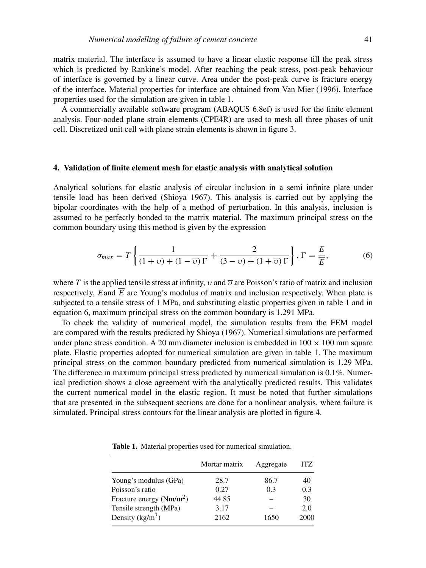matrix material. The interface is assumed to have a linear elastic response till the peak stress which is predicted by Rankine's model. After reaching the peak stress, post-peak behaviour of interface is governed by a linear curve. Area under the post-peak curve is fracture energy of the interface. Material properties for interface are obtained from Van Mier (1996). Interface properties used for the simulation are given in table 1.

A commercially available software program (ABAQUS 6.8ef) is used for the finite element analysis. Four-noded plane strain elements (CPE4R) are used to mesh all three phases of unit cell. Discretized unit cell with plane strain elements is shown in figure 3.

#### **4. Validation of finite element mesh for elastic analysis with analytical solution**

Analytical solutions for elastic analysis of circular inclusion in a semi infinite plate under tensile load has been derived (Shioya 1967). This analysis is carried out by applying the bipolar coordinates with the help of a method of perturbation. In this analysis, inclusion is assumed to be perfectly bonded to the matrix material. The maximum principal stress on the common boundary using this method is given by the expression

$$
\sigma_{max} = T\left\{\frac{1}{(1+v) + (1-\overline{v})\Gamma} + \frac{2}{(3-v) + (1+\overline{v})\Gamma}\right\}, \Gamma = \frac{E}{\overline{E}},\tag{6}
$$

where *T* is the applied tensile stress at infinity,  $v$  and  $\overline{v}$  are Poisson's ratio of matrix and inclusion respectively, *E* and  $\overline{E}$  are Young's modulus of matrix and inclusion respectively. When plate is subjected to a tensile stress of 1 MPa, and substituting elastic properties given in table 1 and in equation 6, maximum principal stress on the common boundary is 1.291 MPa.

To check the validity of numerical model, the simulation results from the FEM model are compared with the results predicted by Shioya (1967). Numerical simulations are performed under plane stress condition. A 20 mm diameter inclusion is embedded in  $100 \times 100$  mm square plate. Elastic properties adopted for numerical simulation are given in table 1. The maximum principal stress on the common boundary predicted from numerical simulation is 1.29 MPa. The difference in maximum principal stress predicted by numerical simulation is 0.1%. Numerical prediction shows a close agreement with the analytically predicted results. This validates the current numerical model in the elastic region. It must be noted that further simulations that are presented in the subsequent sections are done for a nonlinear analysis, where failure is simulated. Principal stress contours for the linear analysis are plotted in figure 4.

|                              | Mortar matrix | Aggregate | ITZ. |
|------------------------------|---------------|-----------|------|
| Young's modulus (GPa)        | 28.7          | 86.7      | 40   |
| Poisson's ratio              | 0.27          | 0.3       | 0.3  |
| Fracture energy ( $Nm/m^2$ ) | 44.85         |           | 30   |
| Tensile strength (MPa)       | 3.17          |           | 2.0  |
| Density $(kg/m^3)$           | 2162          | 1650      | 2000 |
|                              |               |           |      |

**Table 1.** Material properties used for numerical simulation.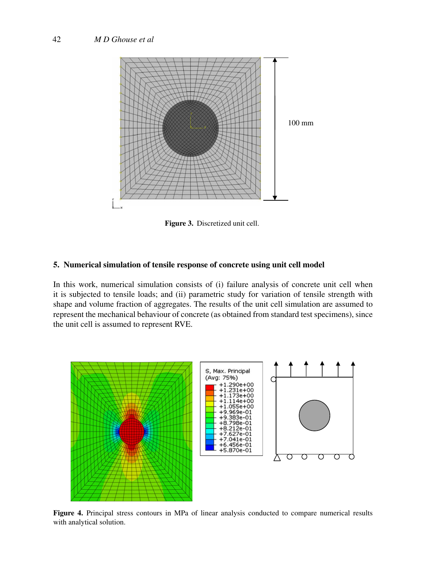

**Figure 3.** Discretized unit cell.

# **5. Numerical simulation of tensile response of concrete using unit cell model**

In this work, numerical simulation consists of (i) failure analysis of concrete unit cell when it is subjected to tensile loads; and (ii) parametric study for variation of tensile strength with shape and volume fraction of aggregates. The results of the unit cell simulation are assumed to represent the mechanical behaviour of concrete (as obtained from standard test specimens), since the unit cell is assumed to represent RVE.



**Figure 4.** Principal stress contours in MPa of linear analysis conducted to compare numerical results with analytical solution.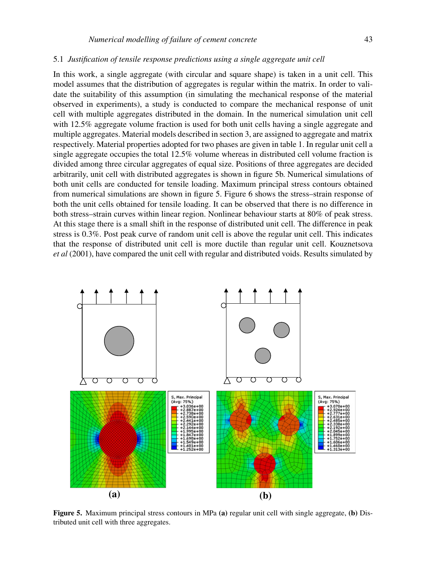## 5.1 *Justification of tensile response predictions using a single aggregate unit cell*

In this work, a single aggregate (with circular and square shape) is taken in a unit cell. This model assumes that the distribution of aggregates is regular within the matrix. In order to validate the suitability of this assumption (in simulating the mechanical response of the material observed in experiments), a study is conducted to compare the mechanical response of unit cell with multiple aggregates distributed in the domain. In the numerical simulation unit cell with 12.5% aggregate volume fraction is used for both unit cells having a single aggregate and multiple aggregates. Material models described in section 3, are assigned to aggregate and matrix respectively. Material properties adopted for two phases are given in table 1. In regular unit cell a single aggregate occupies the total 12.5% volume whereas in distributed cell volume fraction is divided among three circular aggregates of equal size. Positions of three aggregates are decided arbitrarily, unit cell with distributed aggregates is shown in figure 5b. Numerical simulations of both unit cells are conducted for tensile loading. Maximum principal stress contours obtained from numerical simulations are shown in figure 5. Figure 6 shows the stress–strain response of both the unit cells obtained for tensile loading. It can be observed that there is no difference in both stress–strain curves within linear region. Nonlinear behaviour starts at 80% of peak stress. At this stage there is a small shift in the response of distributed unit cell. The difference in peak stress is 0.3%. Post peak curve of random unit cell is above the regular unit cell. This indicates that the response of distributed unit cell is more ductile than regular unit cell. Kouznetsova *et al* (2001), have compared the unit cell with regular and distributed voids. Results simulated by



**Figure 5.** Maximum principal stress contours in MPa **(a)** regular unit cell with single aggregate, **(b)** Distributed unit cell with three aggregates.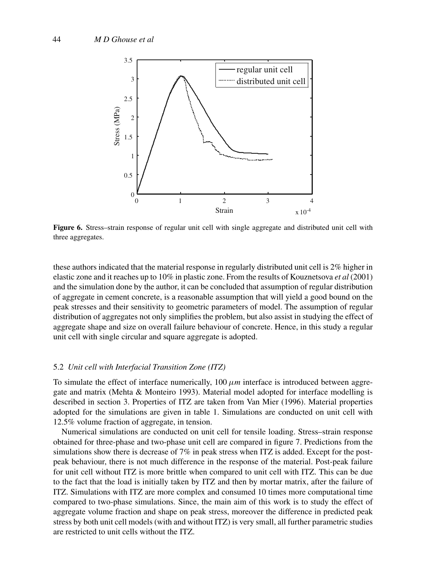

**Figure 6.** Stress–strain response of regular unit cell with single aggregate and distributed unit cell with three aggregates.

these authors indicated that the material response in regularly distributed unit cell is 2% higher in elastic zone and it reaches up to 10% in plastic zone. From the results of Kouznetsova *et al* (2001) and the simulation done by the author, it can be concluded that assumption of regular distribution of aggregate in cement concrete, is a reasonable assumption that will yield a good bound on the peak stresses and their sensitivity to geometric parameters of model. The assumption of regular distribution of aggregates not only simplifies the problem, but also assist in studying the effect of aggregate shape and size on overall failure behaviour of concrete. Hence, in this study a regular unit cell with single circular and square aggregate is adopted.

## 5.2 *Unit cell with Interfacial Transition Zone (ITZ)*

To simulate the effect of interface numerically, 100 μ*m* interface is introduced between aggregate and matrix (Mehta & Monteiro 1993). Material model adopted for interface modelling is described in section 3. Properties of ITZ are taken from Van Mier (1996). Material properties adopted for the simulations are given in table 1. Simulations are conducted on unit cell with 12.5% volume fraction of aggregate, in tension.

Numerical simulations are conducted on unit cell for tensile loading. Stress–strain response obtained for three-phase and two-phase unit cell are compared in figure 7. Predictions from the simulations show there is decrease of 7% in peak stress when ITZ is added. Except for the postpeak behaviour, there is not much difference in the response of the material. Post-peak failure for unit cell without ITZ is more brittle when compared to unit cell with ITZ. This can be due to the fact that the load is initially taken by ITZ and then by mortar matrix, after the failure of ITZ. Simulations with ITZ are more complex and consumed 10 times more computational time compared to two-phase simulations. Since, the main aim of this work is to study the effect of aggregate volume fraction and shape on peak stress, moreover the difference in predicted peak stress by both unit cell models (with and without ITZ) is very small, all further parametric studies are restricted to unit cells without the ITZ.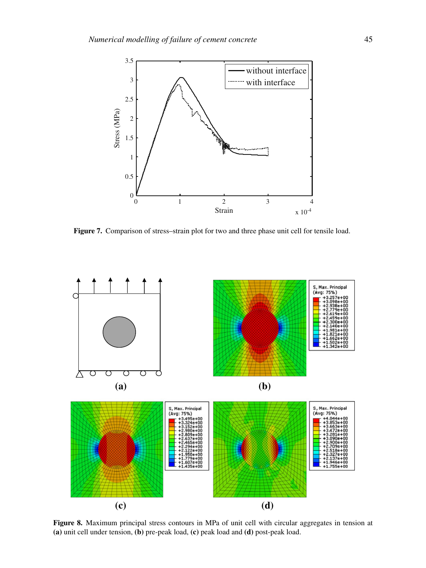

**Figure 7.** Comparison of stress–strain plot for two and three phase unit cell for tensile load.



**Figure 8.** Maximum principal stress contours in MPa of unit cell with circular aggregates in tension at **(a)** unit cell under tension, **(b)** pre-peak load, **(c)** peak load and **(d)** post-peak load.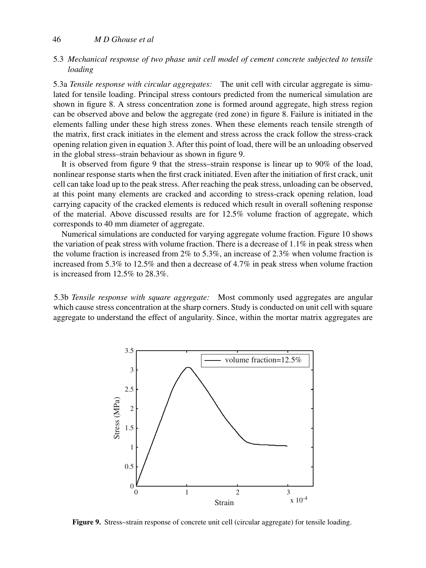# 5.3 *Mechanical response of two phase unit cell model of cement concrete subjected to tensile loading*

5.3a *Tensile response with circular aggregates:* The unit cell with circular aggregate is simulated for tensile loading. Principal stress contours predicted from the numerical simulation are shown in figure 8. A stress concentration zone is formed around aggregate, high stress region can be observed above and below the aggregate (red zone) in figure 8. Failure is initiated in the elements falling under these high stress zones. When these elements reach tensile strength of the matrix, first crack initiates in the element and stress across the crack follow the stress-crack opening relation given in equation 3. After this point of load, there will be an unloading observed in the global stress–strain behaviour as shown in figure 9.

It is observed from figure 9 that the stress–strain response is linear up to 90% of the load, nonlinear response starts when the first crack initiated. Even after the initiation of first crack, unit cell can take load up to the peak stress. After reaching the peak stress, unloading can be observed, at this point many elements are cracked and according to stress-crack opening relation, load carrying capacity of the cracked elements is reduced which result in overall softening response of the material. Above discussed results are for 12.5% volume fraction of aggregate, which corresponds to 40 mm diameter of aggregate.

Numerical simulations are conducted for varying aggregate volume fraction. Figure 10 shows the variation of peak stress with volume fraction. There is a decrease of 1.1% in peak stress when the volume fraction is increased from 2% to 5.3%, an increase of 2.3% when volume fraction is increased from 5.3% to 12.5% and then a decrease of 4.7% in peak stress when volume fraction is increased from 12.5% to 28.3%.

5.3b *Tensile response with square aggregate:* Most commonly used aggregates are angular which cause stress concentration at the sharp corners. Study is conducted on unit cell with square aggregate to understand the effect of angularity. Since, within the mortar matrix aggregates are



**Figure 9.** Stress–strain response of concrete unit cell (circular aggregate) for tensile loading.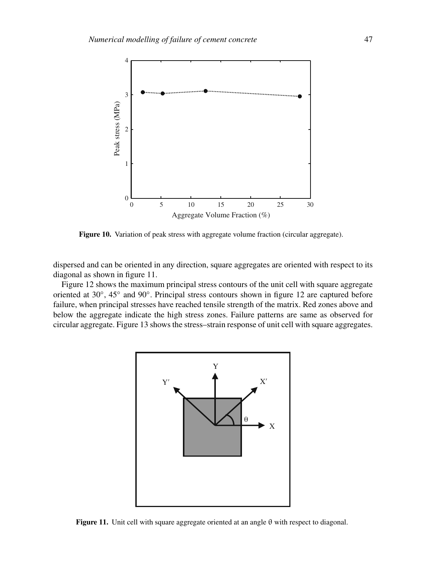

**Figure 10.** Variation of peak stress with aggregate volume fraction (circular aggregate).

dispersed and can be oriented in any direction, square aggregates are oriented with respect to its diagonal as shown in figure 11.

Figure 12 shows the maximum principal stress contours of the unit cell with square aggregate oriented at 30◦, 45◦ and 90◦. Principal stress contours shown in figure 12 are captured before failure, when principal stresses have reached tensile strength of the matrix. Red zones above and below the aggregate indicate the high stress zones. Failure patterns are same as observed for circular aggregate. Figure 13 shows the stress–strain response of unit cell with square aggregates.



**Figure 11.** Unit cell with square aggregate oriented at an angle θ with respect to diagonal.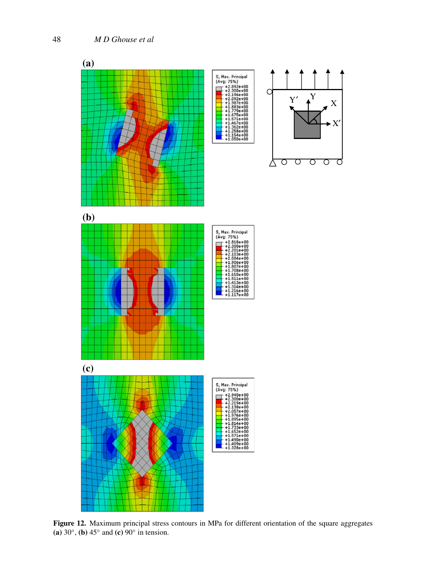

X′

 $\overline{a}$ 

ਠ

X

**Figure 12.** Maximum principal stress contours in MPa for different orientation of the square aggregates **(a)** 30◦, **(b)** 45◦ and **(c)** 90◦ in tension.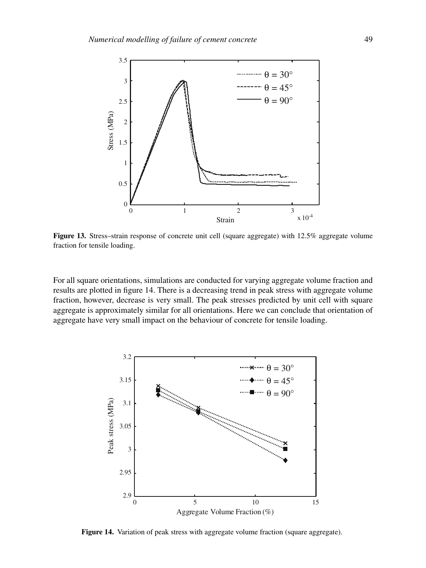

**Figure 13.** Stress–strain response of concrete unit cell (square aggregate) with 12.5% aggregate volume fraction for tensile loading.

For all square orientations, simulations are conducted for varying aggregate volume fraction and results are plotted in figure 14. There is a decreasing trend in peak stress with aggregate volume fraction, however, decrease is very small. The peak stresses predicted by unit cell with square aggregate is approximately similar for all orientations. Here we can conclude that orientation of aggregate have very small impact on the behaviour of concrete for tensile loading.



**Figure 14.** Variation of peak stress with aggregate volume fraction (square aggregate).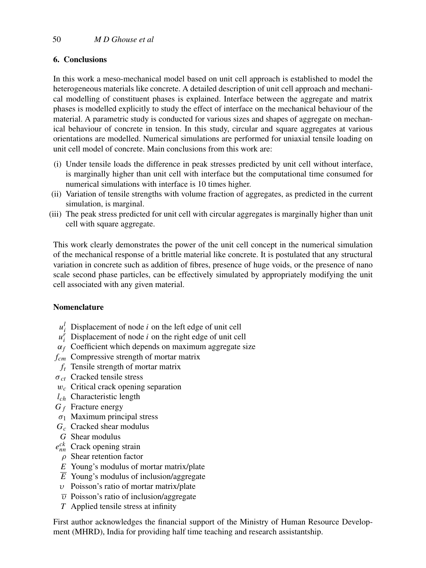# **6. Conclusions**

In this work a meso-mechanical model based on unit cell approach is established to model the heterogeneous materials like concrete. A detailed description of unit cell approach and mechanical modelling of constituent phases is explained. Interface between the aggregate and matrix phases is modelled explicitly to study the effect of interface on the mechanical behaviour of the material. A parametric study is conducted for various sizes and shapes of aggregate on mechanical behaviour of concrete in tension. In this study, circular and square aggregates at various orientations are modelled. Numerical simulations are performed for uniaxial tensile loading on unit cell model of concrete. Main conclusions from this work are:

- (i) Under tensile loads the difference in peak stresses predicted by unit cell without interface, is marginally higher than unit cell with interface but the computational time consumed for numerical simulations with interface is 10 times higher.
- (ii) Variation of tensile strengths with volume fraction of aggregates, as predicted in the current simulation, is marginal.
- (iii) The peak stress predicted for unit cell with circular aggregates is marginally higher than unit cell with square aggregate.

This work clearly demonstrates the power of the unit cell concept in the numerical simulation of the mechanical response of a brittle material like concrete. It is postulated that any structural variation in concrete such as addition of fibres, presence of huge voids, or the presence of nano scale second phase particles, can be effectively simulated by appropriately modifying the unit cell associated with any given material.

# **Nomenclature**

- $u_i^l$  Displacement of node *i* on the left edge of unit cell
- $u_i^{\dot{r}}$  Displacement of node *i* on the right edge of unit cell
- $\alpha_f$  Coefficient which depends on maximum aggregate size
- *fcm* Compressive strength of mortar matrix
- *ft* Tensile strength of mortar matrix
- σ*ct* Cracked tensile stress
- w*c* Critical crack opening separation
- *lch* Characteristic length
- *G <sup>f</sup>* Fracture energy
- $\sigma_1$  Maximum principal stress
- *Gc* Cracked shear modulus
- *G* Shear modulus
- *eck nn* Crack opening strain
- $\rho$  Shear retention factor
- *E* Young's modulus of mortar matrix/plate
- $\overline{E}$  Young's modulus of inclusion/aggregate
- υ Poisson's ratio of mortar matrix/plate
- $\overline{v}$  Poisson's ratio of inclusion/aggregate
- *T* Applied tensile stress at infinity

First author acknowledges the financial support of the Ministry of Human Resource Development (MHRD), India for providing half time teaching and research assistantship.